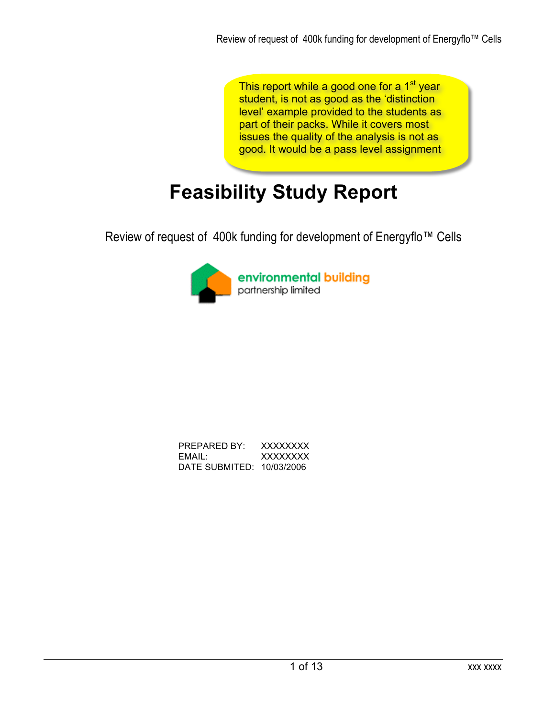This report while a good one for a 1<sup>st</sup> year student, is not as good as the 'distinction level' example provided to the students as part of their packs. While it covers most issues the quality of the analysis is not as good. It would be a pass level assignment

# **Feasibility Study Report**

Review of request of 400k funding for development of Energyflo™ Cells



| PREPARED BY:              | <b>XXXXXXXX</b> |
|---------------------------|-----------------|
| EMAIL:                    | <b>XXXXXXXX</b> |
| DATE SUBMITED: 10/03/2006 |                 |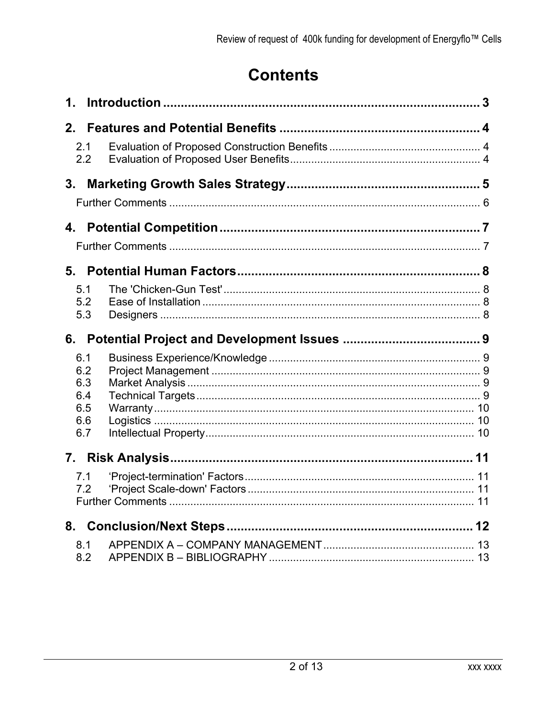## **Contents**

| $\mathbf 1$ .                                 |  |
|-----------------------------------------------|--|
| 2 <sub>1</sub>                                |  |
| 2.1<br>2.2                                    |  |
| 3 <sub>1</sub>                                |  |
|                                               |  |
|                                               |  |
|                                               |  |
|                                               |  |
| 5.1<br>5.2<br>5.3                             |  |
|                                               |  |
|                                               |  |
| 6.1<br>6.2<br>6.3<br>6.4<br>6.5<br>6.6<br>6.7 |  |
|                                               |  |
| 7.1<br>7.2                                    |  |
|                                               |  |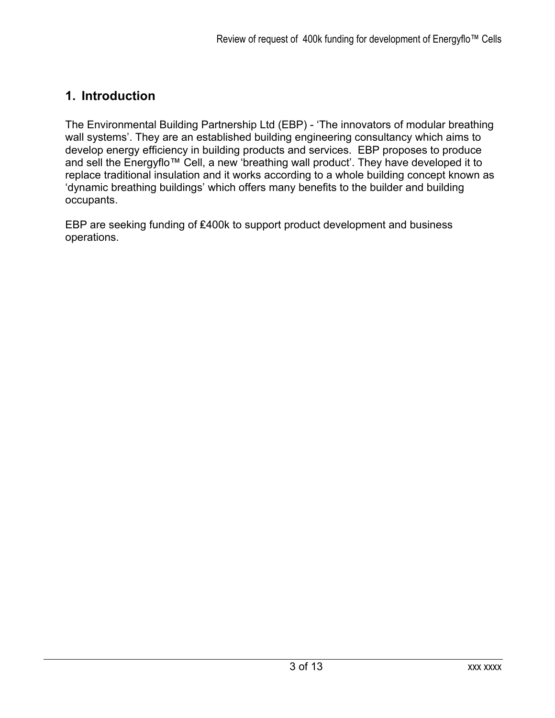### **1. Introduction**

The Environmental Building Partnership Ltd (EBP) - 'The innovators of modular breathing wall systems'. They are an established building engineering consultancy which aims to develop energy efficiency in building products and services. EBP proposes to produce and sell the Energyflo™ Cell, a new 'breathing wall product'. They have developed it to replace traditional insulation and it works according to a whole building concept known as 'dynamic breathing buildings' which offers many benefits to the builder and building occupants.

EBP are seeking funding of ₤400k to support product development and business operations.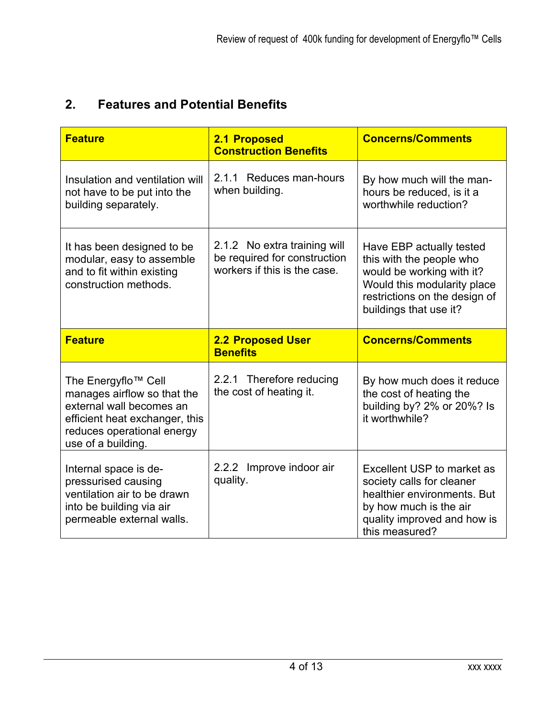## **2. Features and Potential Benefits**

| <b>Feature</b>                                                                                                                                                                   | 2.1 Proposed<br><b>Construction Benefits</b>                                                 | <b>Concerns/Comments</b>                                                                                                                                                    |
|----------------------------------------------------------------------------------------------------------------------------------------------------------------------------------|----------------------------------------------------------------------------------------------|-----------------------------------------------------------------------------------------------------------------------------------------------------------------------------|
| Insulation and ventilation will<br>not have to be put into the<br>building separately.                                                                                           | 2.1.1 Reduces man-hours<br>when building.                                                    | By how much will the man-<br>hours be reduced, is it a<br>worthwhile reduction?                                                                                             |
| It has been designed to be<br>modular, easy to assemble<br>and to fit within existing<br>construction methods.                                                                   | 2.1.2 No extra training will<br>be required for construction<br>workers if this is the case. | Have EBP actually tested<br>this with the people who<br>would be working with it?<br>Would this modularity place<br>restrictions on the design of<br>buildings that use it? |
|                                                                                                                                                                                  |                                                                                              |                                                                                                                                                                             |
| <b>Feature</b>                                                                                                                                                                   | <b>2.2 Proposed User</b><br><b>Benefits</b>                                                  | <b>Concerns/Comments</b>                                                                                                                                                    |
| The Energyflo <sup>™</sup> Cell<br>manages airflow so that the<br>external wall becomes an<br>efficient heat exchanger, this<br>reduces operational energy<br>use of a building. | 2.2.1 Therefore reducing<br>the cost of heating it.                                          | By how much does it reduce<br>the cost of heating the<br>building by? 2% or 20%? Is<br>it worthwhile?                                                                       |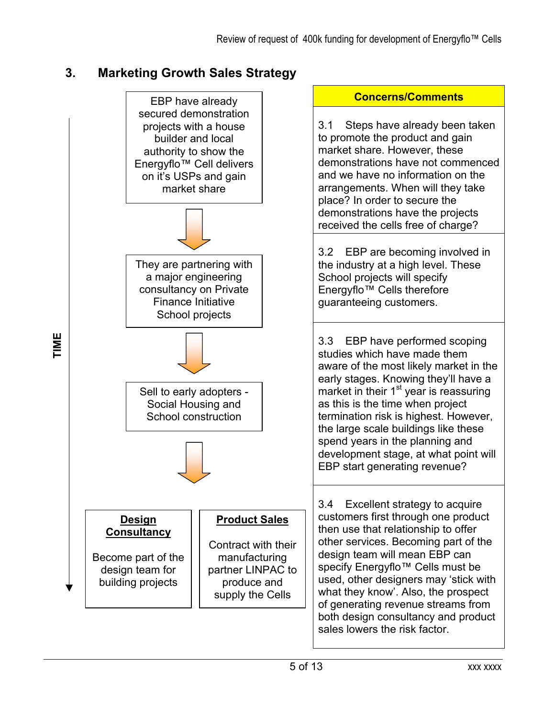## **3. Marketing Growth Sales Strategy**

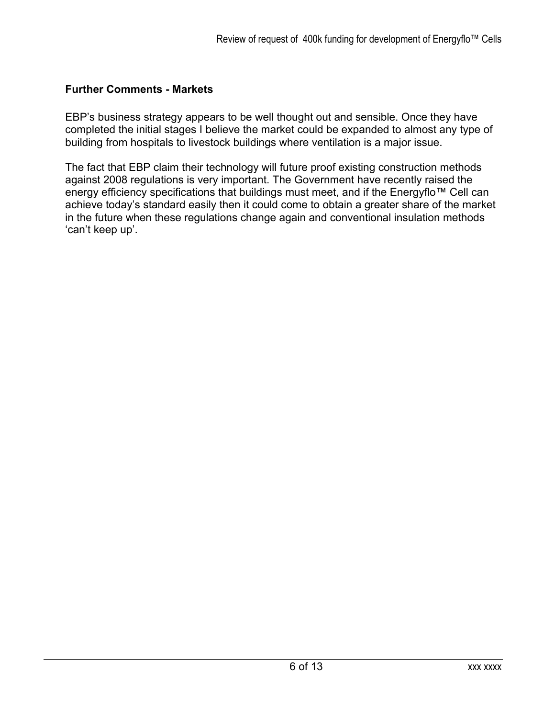#### **Further Comments - Markets**

EBP's business strategy appears to be well thought out and sensible. Once they have completed the initial stages I believe the market could be expanded to almost any type of building from hospitals to livestock buildings where ventilation is a major issue.

The fact that EBP claim their technology will future proof existing construction methods against 2008 regulations is very important. The Government have recently raised the energy efficiency specifications that buildings must meet, and if the Energyflo™ Cell can achieve today's standard easily then it could come to obtain a greater share of the market in the future when these regulations change again and conventional insulation methods 'can't keep up'.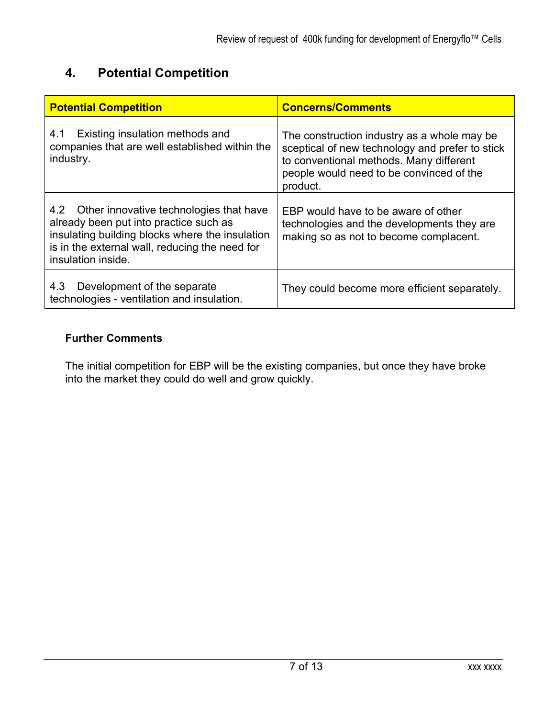## **4. Potential Competition**

| <b>Potential Competition</b>                                                                                                                                                                                     | <b>Concerns/Comments</b>                                                                                                                                                                          |
|------------------------------------------------------------------------------------------------------------------------------------------------------------------------------------------------------------------|---------------------------------------------------------------------------------------------------------------------------------------------------------------------------------------------------|
| Existing insulation methods and<br>4.1<br>companies that are well established within the<br>industry.                                                                                                            | The construction industry as a whole may be<br>sceptical of new technology and prefer to stick<br>to conventional methods. Many different<br>people would need to be convinced of the<br>product. |
| 4.2 Other innovative technologies that have<br>already been put into practice such as<br>insulating building blocks where the insulation<br>is in the external wall, reducing the need for<br>insulation inside. | EBP would have to be aware of other<br>technologies and the developments they are<br>making so as not to become complacent.                                                                       |
| Development of the separate<br>4.3<br>technologies - ventilation and insulation.                                                                                                                                 | They could become more efficient separately.                                                                                                                                                      |

#### **Further Comments**

The initial competition for EBP will be the existing companies, but once they have broke into the market they could do well and grow quickly.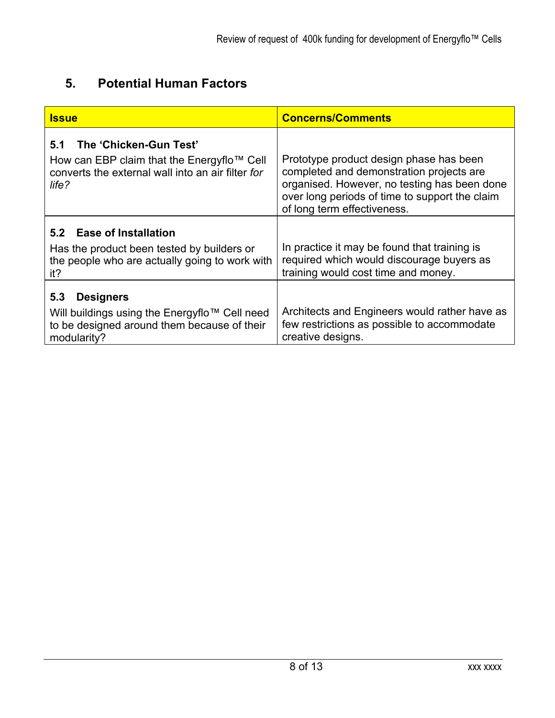## **5. Potential Human Factors**

| <u>Issue</u>                                                                                                                              | <b>Concerns/Comments</b>                                                                                                                                                                                             |
|-------------------------------------------------------------------------------------------------------------------------------------------|----------------------------------------------------------------------------------------------------------------------------------------------------------------------------------------------------------------------|
| The 'Chicken-Gun Test'<br>5.1<br>How can EBP claim that the Energyflo™ Cell<br>converts the external wall into an air filter for<br>life? | Prototype product design phase has been<br>completed and demonstration projects are<br>organised. However, no testing has been done<br>over long periods of time to support the claim<br>of long term effectiveness. |
| 5.2 Ease of Installation<br>Has the product been tested by builders or<br>the people who are actually going to work with<br>it?           | In practice it may be found that training is<br>required which would discourage buyers as<br>training would cost time and money.                                                                                     |
| 5.3<br><b>Designers</b><br>Will buildings using the Energyflo™ Cell need<br>to be designed around them because of their<br>modularity?    | Architects and Engineers would rather have as<br>few restrictions as possible to accommodate<br>creative designs.                                                                                                    |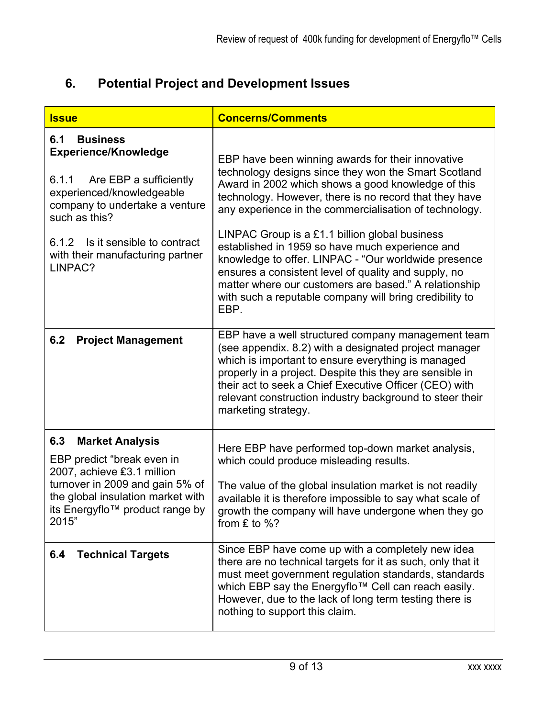## **6. Potential Project and Development Issues**

| <b>Issue</b>                                                                                                                                                                                                                                  | <b>Concerns/Comments</b>                                                                                                                                                                                                                                                                                                                                                                                                                         |
|-----------------------------------------------------------------------------------------------------------------------------------------------------------------------------------------------------------------------------------------------|--------------------------------------------------------------------------------------------------------------------------------------------------------------------------------------------------------------------------------------------------------------------------------------------------------------------------------------------------------------------------------------------------------------------------------------------------|
| 6.1<br><b>Business</b><br><b>Experience/Knowledge</b><br>6.1.1 Are EBP a sufficiently<br>experienced/knowledgeable<br>company to undertake a venture<br>such as this?<br>6.1.2 Is it sensible to contract<br>with their manufacturing partner | EBP have been winning awards for their innovative<br>technology designs since they won the Smart Scotland<br>Award in 2002 which shows a good knowledge of this<br>technology. However, there is no record that they have<br>any experience in the commercialisation of technology.<br>LINPAC Group is a £1.1 billion global business<br>established in 1959 so have much experience and<br>knowledge to offer. LINPAC - "Our worldwide presence |
| LINPAC?                                                                                                                                                                                                                                       | ensures a consistent level of quality and supply, no<br>matter where our customers are based." A relationship<br>with such a reputable company will bring credibility to<br>EBP.                                                                                                                                                                                                                                                                 |
| 6.2<br><b>Project Management</b>                                                                                                                                                                                                              | EBP have a well structured company management team<br>(see appendix. 8.2) with a designated project manager<br>which is important to ensure everything is managed<br>properly in a project. Despite this they are sensible in<br>their act to seek a Chief Executive Officer (CEO) with<br>relevant construction industry background to steer their<br>marketing strategy.                                                                       |
| 6.3<br><b>Market Analysis</b><br>EBP predict "break even in<br>2007, achieve £3.1 million                                                                                                                                                     | Here EBP have performed top-down market analysis,<br>which could produce misleading results.                                                                                                                                                                                                                                                                                                                                                     |
| turnover in 2009 and gain 5% of<br>the global insulation market with<br>its Energyflo™ product range by<br>2015"                                                                                                                              | The value of the global insulation market is not readily<br>available it is therefore impossible to say what scale of<br>growth the company will have undergone when they go<br>from $E$ to %?                                                                                                                                                                                                                                                   |
| 6.4<br><b>Technical Targets</b>                                                                                                                                                                                                               | Since EBP have come up with a completely new idea<br>there are no technical targets for it as such, only that it<br>must meet government regulation standards, standards<br>which EBP say the Energyflo™ Cell can reach easily.<br>However, due to the lack of long term testing there is<br>nothing to support this claim.                                                                                                                      |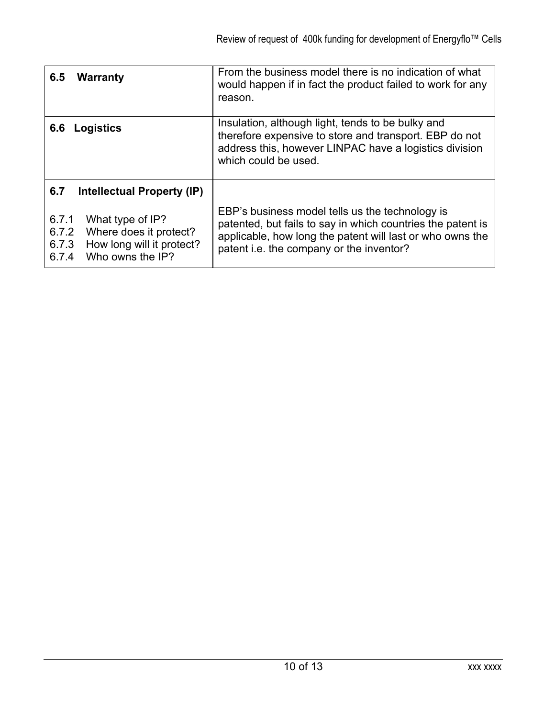| <b>Warranty</b><br>6.5                                                                                                          | From the business model there is no indication of what<br>would happen if in fact the product failed to work for any<br>reason.                                                                                         |
|---------------------------------------------------------------------------------------------------------------------------------|-------------------------------------------------------------------------------------------------------------------------------------------------------------------------------------------------------------------------|
| Logistics<br>6.6                                                                                                                | Insulation, although light, tends to be bulky and<br>therefore expensive to store and transport. EBP do not<br>address this, however LINPAC have a logistics division<br>which could be used.                           |
| 6.7<br>Intellectual Property (IP)                                                                                               |                                                                                                                                                                                                                         |
| 6.7.1<br>What type of IP?<br>6.7.2<br>Where does it protect?<br>How long will it protect?<br>6.7.3<br>Who owns the IP?<br>6.7.4 | EBP's business model tells us the technology is<br>patented, but fails to say in which countries the patent is<br>applicable, how long the patent will last or who owns the<br>patent i.e. the company or the inventor? |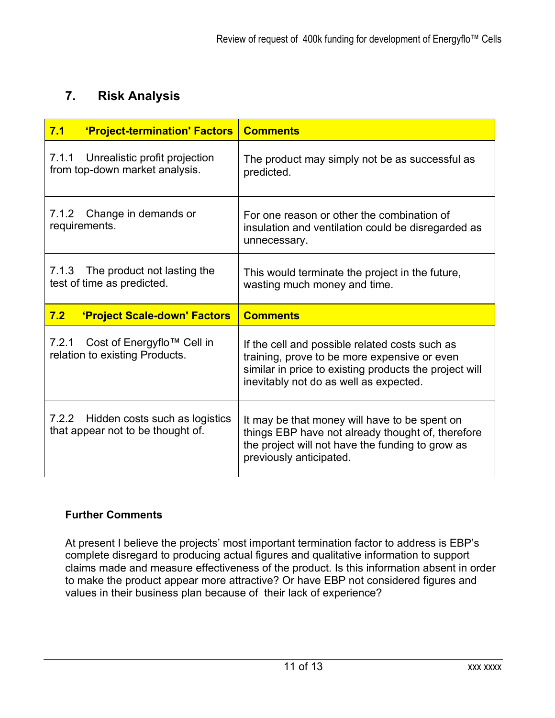### **7. Risk Analysis**

| 7.1<br>'Project-termination' Factors                                         | <b>Comments</b>                                                                                                                                                                                    |
|------------------------------------------------------------------------------|----------------------------------------------------------------------------------------------------------------------------------------------------------------------------------------------------|
| Unrealistic profit projection<br>7.1.1<br>from top-down market analysis.     | The product may simply not be as successful as<br>predicted.                                                                                                                                       |
| Change in demands or<br>7.1.2<br>requirements.                               | For one reason or other the combination of<br>insulation and ventilation could be disregarded as<br>unnecessary.                                                                                   |
| 7.1.3 The product not lasting the<br>test of time as predicted.              | This would terminate the project in the future,<br>wasting much money and time.                                                                                                                    |
| 7.2<br>'Project Scale-down' Factors                                          | <b>Comments</b>                                                                                                                                                                                    |
| 7.2.1<br>Cost of Energyflo™ Cell in<br>relation to existing Products.        | If the cell and possible related costs such as<br>training, prove to be more expensive or even<br>similar in price to existing products the project will<br>inevitably not do as well as expected. |
| 7.2.2<br>Hidden costs such as logistics<br>that appear not to be thought of. | It may be that money will have to be spent on<br>things EBP have not already thought of, therefore<br>the project will not have the funding to grow as<br>previously anticipated.                  |

#### **Further Comments**

At present I believe the projects' most important termination factor to address is EBP's complete disregard to producing actual figures and qualitative information to support claims made and measure effectiveness of the product. Is this information absent in order to make the product appear more attractive? Or have EBP not considered figures and values in their business plan because of their lack of experience?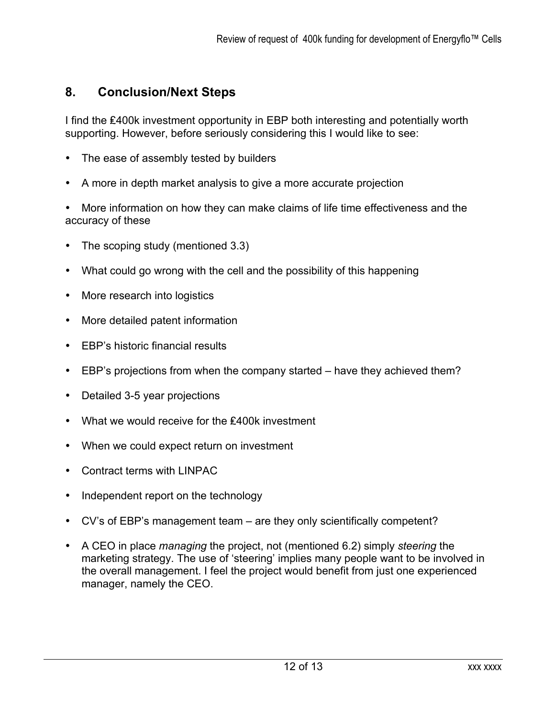#### **8. Conclusion/Next Steps**

I find the ₤400k investment opportunity in EBP both interesting and potentially worth supporting. However, before seriously considering this I would like to see:

- The ease of assembly tested by builders
- A more in depth market analysis to give a more accurate projection

• More information on how they can make claims of life time effectiveness and the accuracy of these

- The scoping study (mentioned 3.3)
- What could go wrong with the cell and the possibility of this happening
- More research into logistics
- More detailed patent information
- EBP's historic financial results
- EBP's projections from when the company started have they achieved them?
- Detailed 3-5 year projections
- What we would receive for the ₤400k investment
- When we could expect return on investment
- Contract terms with LINPAC
- Independent report on the technology
- CV's of EBP's management team are they only scientifically competent?
- A CEO in place *managing* the project, not (mentioned 6.2) simply *steering* the marketing strategy. The use of 'steering' implies many people want to be involved in the overall management. I feel the project would benefit from just one experienced manager, namely the CEO.